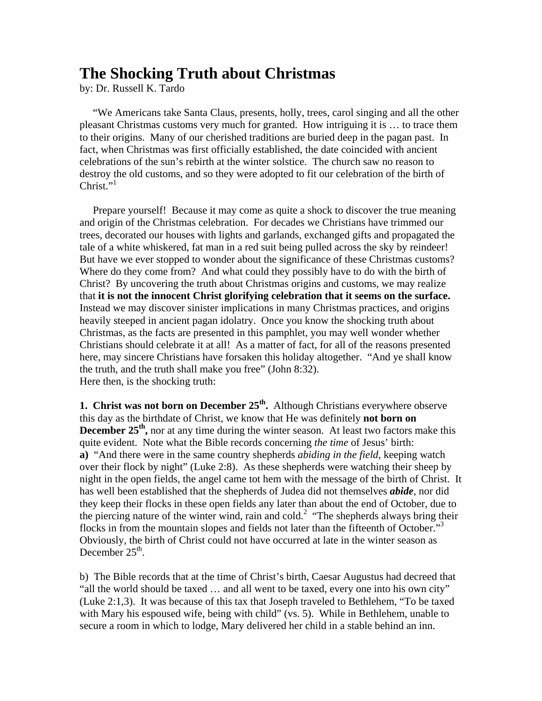## **The Shocking Truth about Christmas**

by: Dr. Russell K. Tardo

 "We Americans take Santa Claus, presents, holly, trees, carol singing and all the other pleasant Christmas customs very much for granted. How intriguing it is … to trace them to their origins. Many of our cherished traditions are buried deep in the pagan past. In fact, when Christmas was first officially established, the date coincided with ancient celebrations of the sun's rebirth at the winter solstice. The church saw no reason to destroy the old customs, and so they were adopted to fit our celebration of the birth of  $Christ.$ "

 Prepare yourself! Because it may come as quite a shock to discover the true meaning and origin of the Christmas celebration. For decades we Christians have trimmed our trees, decorated our houses with lights and garlands, exchanged gifts and propagated the tale of a white whiskered, fat man in a red suit being pulled across the sky by reindeer! But have we ever stopped to wonder about the significance of these Christmas customs? Where do they come from? And what could they possibly have to do with the birth of Christ? By uncovering the truth about Christmas origins and customs, we may realize that **it is not the innocent Christ glorifying celebration that it seems on the surface.** Instead we may discover sinister implications in many Christmas practices, and origins heavily steeped in ancient pagan idolatry. Once you know the shocking truth about Christmas, as the facts are presented in this pamphlet, you may well wonder whether Christians should celebrate it at all! As a matter of fact, for all of the reasons presented here, may sincere Christians have forsaken this holiday altogether. "And ye shall know the truth, and the truth shall make you free" (John 8:32). Here then, is the shocking truth:

**1. Christ was not born on December 25<sup>th</sup>.** Although Christians everywhere observe this day as the birthdate of Christ, we know that He was definitely **not born on December 25<sup>th</sup>**, nor at any time during the winter season. At least two factors make this quite evident. Note what the Bible records concerning *the time* of Jesus' birth: **a)** "And there were in the same country shepherds *abiding in the field*, keeping watch over their flock by night" (Luke 2:8). As these shepherds were watching their sheep by night in the open fields, the angel came tot hem with the message of the birth of Christ. It has well been established that the shepherds of Judea did not themselves *abide*, nor did they keep their flocks in these open fields any later than about the end of October, due to the piercing nature of the winter wind, rain and cold.<sup>2</sup> "The shepherds always bring their flocks in from the mountain slopes and fields not later than the fifteenth of October."3 Obviously, the birth of Christ could not have occurred at late in the winter season as December  $25<sup>th</sup>$ .

b) The Bible records that at the time of Christ's birth, Caesar Augustus had decreed that "all the world should be taxed … and all went to be taxed, every one into his own city" (Luke 2:1,3). It was because of this tax that Joseph traveled to Bethlehem, "To be taxed with Mary his espoused wife, being with child" (vs. 5). While in Bethlehem, unable to secure a room in which to lodge, Mary delivered her child in a stable behind an inn.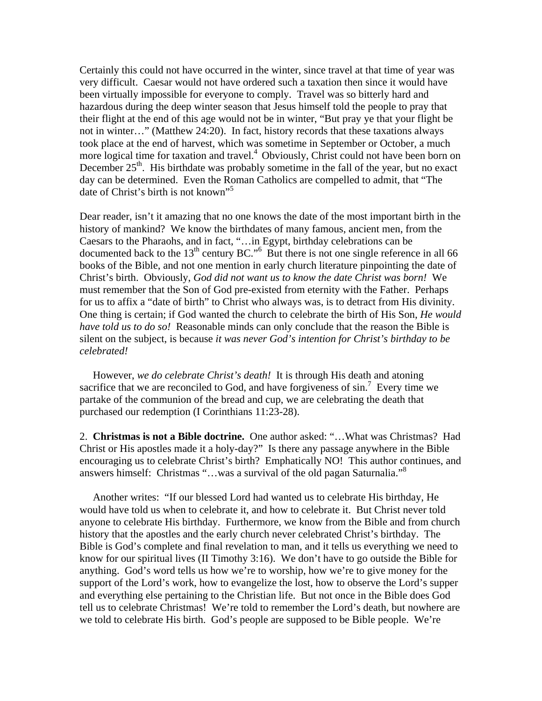Certainly this could not have occurred in the winter, since travel at that time of year was very difficult. Caesar would not have ordered such a taxation then since it would have been virtually impossible for everyone to comply. Travel was so bitterly hard and hazardous during the deep winter season that Jesus himself told the people to pray that their flight at the end of this age would not be in winter, "But pray ye that your flight be not in winter…" (Matthew 24:20). In fact, history records that these taxations always took place at the end of harvest, which was sometime in September or October, a much more logical time for taxation and travel.<sup>4</sup> Obviously, Christ could not have been born on December  $25<sup>th</sup>$ . His birthdate was probably sometime in the fall of the year, but no exact day can be determined. Even the Roman Catholics are compelled to admit, that "The date of Christ's birth is not known"<sup>5</sup>

Dear reader, isn't it amazing that no one knows the date of the most important birth in the history of mankind? We know the birthdates of many famous, ancient men, from the Caesars to the Pharaohs, and in fact, "…in Egypt, birthday celebrations can be documented back to the  $13<sup>th</sup>$  century BC."<sup>6</sup> But there is not one single reference in all 66 books of the Bible, and not one mention in early church literature pinpointing the date of Christ's birth. Obviously, *God did not want us to know the date Christ was born!* We must remember that the Son of God pre-existed from eternity with the Father. Perhaps for us to affix a "date of birth" to Christ who always was, is to detract from His divinity. One thing is certain; if God wanted the church to celebrate the birth of His Son, *He would have told us to do so!* Reasonable minds can only conclude that the reason the Bible is silent on the subject, is because *it was never God's intention for Christ's birthday to be celebrated!*

 However, *we do celebrate Christ's death!* It is through His death and atoning sacrifice that we are reconciled to God, and have forgiveness of  $\sin$ .<sup>7</sup> Every time we partake of the communion of the bread and cup, we are celebrating the death that purchased our redemption (I Corinthians 11:23-28).

2. **Christmas is not a Bible doctrine.** One author asked: "…What was Christmas? Had Christ or His apostles made it a holy-day?" Is there any passage anywhere in the Bible encouraging us to celebrate Christ's birth? Emphatically NO! This author continues, and answers himself: Christmas "...was a survival of the old pagan Saturnalia."<sup>8</sup>

 Another writes: "If our blessed Lord had wanted us to celebrate His birthday, He would have told us when to celebrate it, and how to celebrate it. But Christ never told anyone to celebrate His birthday. Furthermore, we know from the Bible and from church history that the apostles and the early church never celebrated Christ's birthday. The Bible is God's complete and final revelation to man, and it tells us everything we need to know for our spiritual lives (II Timothy 3:16). We don't have to go outside the Bible for anything. God's word tells us how we're to worship, how we're to give money for the support of the Lord's work, how to evangelize the lost, how to observe the Lord's supper and everything else pertaining to the Christian life. But not once in the Bible does God tell us to celebrate Christmas! We're told to remember the Lord's death, but nowhere are we told to celebrate His birth. God's people are supposed to be Bible people. We're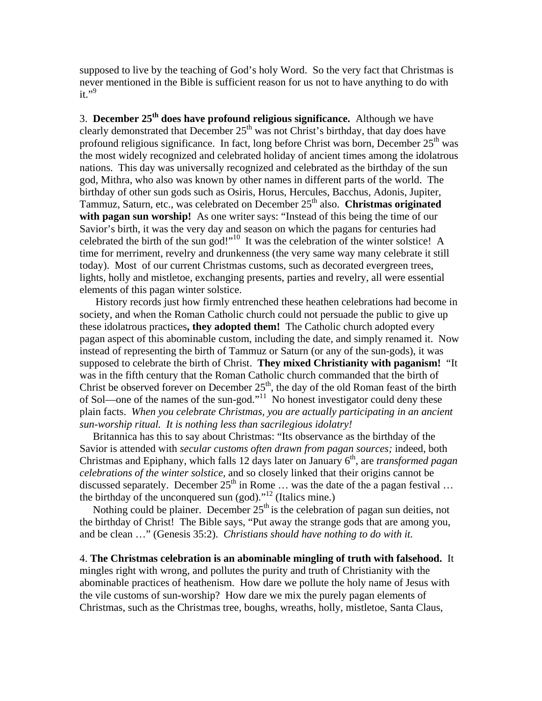supposed to live by the teaching of God's holy Word. So the very fact that Christmas is never mentioned in the Bible is sufficient reason for us not to have anything to do with it." $9$ 

3. **December 25th does have profound religious significance.** Although we have clearly demonstrated that December  $25<sup>th</sup>$  was not Christ's birthday, that day does have profound religious significance. In fact, long before Christ was born, December  $25<sup>th</sup>$  was the most widely recognized and celebrated holiday of ancient times among the idolatrous nations. This day was universally recognized and celebrated as the birthday of the sun god, Mithra, who also was known by other names in different parts of the world. The birthday of other sun gods such as Osiris, Horus, Hercules, Bacchus, Adonis, Jupiter, Tammuz, Saturn, etc., was celebrated on December 25<sup>th</sup> also. **Christmas originated with pagan sun worship!** As one writer says: "Instead of this being the time of our Savior's birth, it was the very day and season on which the pagans for centuries had celebrated the birth of the sun god!"10 It was the celebration of the winter solstice! A time for merriment, revelry and drunkenness (the very same way many celebrate it still today). Most of our current Christmas customs, such as decorated evergreen trees, lights, holly and mistletoe, exchanging presents, parties and revelry, all were essential elements of this pagan winter solstice.

 History records just how firmly entrenched these heathen celebrations had become in society, and when the Roman Catholic church could not persuade the public to give up these idolatrous practices**, they adopted them!** The Catholic church adopted every pagan aspect of this abominable custom, including the date, and simply renamed it. Now instead of representing the birth of Tammuz or Saturn (or any of the sun-gods), it was supposed to celebrate the birth of Christ. **They mixed Christianity with paganism!** "It was in the fifth century that the Roman Catholic church commanded that the birth of Christ be observed forever on December  $25<sup>th</sup>$ , the day of the old Roman feast of the birth of Sol—one of the names of the sun-god."<sup>11</sup> No honest investigator could deny these plain facts. *When you celebrate Christmas, you are actually participating in an ancient sun-worship ritual. It is nothing less than sacrilegious idolatry!*

 Britannica has this to say about Christmas: "Its observance as the birthday of the Savior is attended with *secular customs often drawn from pagan sources;* indeed, both Christmas and Epiphany, which falls 12 days later on January 6<sup>th</sup>, are *transformed pagan celebrations of the winter solstice,* and so closely linked that their origins cannot be discussed separately. December  $25<sup>th</sup>$  in Rome ... was the date of the a pagan festival ... the birthday of the unconquered sun (god)."<sup>12</sup> (Italics mine.)

Nothing could be plainer. December  $25<sup>th</sup>$  is the celebration of pagan sun deities, not the birthday of Christ! The Bible says, "Put away the strange gods that are among you, and be clean …" (Genesis 35:2). *Christians should have nothing to do with it.*

4. **The Christmas celebration is an abominable mingling of truth with falsehood.** It mingles right with wrong, and pollutes the purity and truth of Christianity with the abominable practices of heathenism. How dare we pollute the holy name of Jesus with the vile customs of sun-worship? How dare we mix the purely pagan elements of Christmas, such as the Christmas tree, boughs, wreaths, holly, mistletoe, Santa Claus,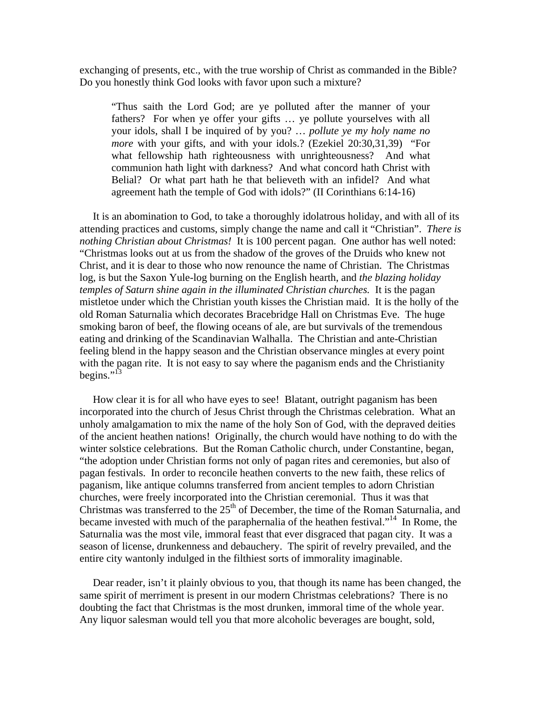exchanging of presents, etc., with the true worship of Christ as commanded in the Bible? Do you honestly think God looks with favor upon such a mixture?

"Thus saith the Lord God; are ye polluted after the manner of your fathers? For when ye offer your gifts … ye pollute yourselves with all your idols, shall I be inquired of by you? … *pollute ye my holy name no more* with your gifts, and with your idols.? (Ezekiel 20:30,31,39) "For what fellowship hath righteousness with unrighteousness? And what communion hath light with darkness? And what concord hath Christ with Belial? Or what part hath he that believeth with an infidel? And what agreement hath the temple of God with idols?" (II Corinthians 6:14-16)

 It is an abomination to God, to take a thoroughly idolatrous holiday, and with all of its attending practices and customs, simply change the name and call it "Christian". *There is nothing Christian about Christmas!* It is 100 percent pagan. One author has well noted: "Christmas looks out at us from the shadow of the groves of the Druids who knew not Christ, and it is dear to those who now renounce the name of Christian. The Christmas log, is but the Saxon Yule-log burning on the English hearth, and *the blazing holiday temples of Saturn shine again in the illuminated Christian churches.* It is the pagan mistletoe under which the Christian youth kisses the Christian maid. It is the holly of the old Roman Saturnalia which decorates Bracebridge Hall on Christmas Eve. The huge smoking baron of beef, the flowing oceans of ale, are but survivals of the tremendous eating and drinking of the Scandinavian Walhalla. The Christian and ante-Christian feeling blend in the happy season and the Christian observance mingles at every point with the pagan rite. It is not easy to say where the paganism ends and the Christianity begins." $^{13}$ 

 How clear it is for all who have eyes to see! Blatant, outright paganism has been incorporated into the church of Jesus Christ through the Christmas celebration. What an unholy amalgamation to mix the name of the holy Son of God, with the depraved deities of the ancient heathen nations! Originally, the church would have nothing to do with the winter solstice celebrations. But the Roman Catholic church, under Constantine, began, "the adoption under Christian forms not only of pagan rites and ceremonies, but also of pagan festivals. In order to reconcile heathen converts to the new faith, these relics of paganism, like antique columns transferred from ancient temples to adorn Christian churches, were freely incorporated into the Christian ceremonial. Thus it was that Christmas was transferred to the  $25<sup>th</sup>$  of December, the time of the Roman Saturnalia, and became invested with much of the paraphernalia of the heathen festival."<sup>14</sup> In Rome, the Saturnalia was the most vile, immoral feast that ever disgraced that pagan city. It was a season of license, drunkenness and debauchery. The spirit of revelry prevailed, and the entire city wantonly indulged in the filthiest sorts of immorality imaginable.

 Dear reader, isn't it plainly obvious to you, that though its name has been changed, the same spirit of merriment is present in our modern Christmas celebrations? There is no doubting the fact that Christmas is the most drunken, immoral time of the whole year. Any liquor salesman would tell you that more alcoholic beverages are bought, sold,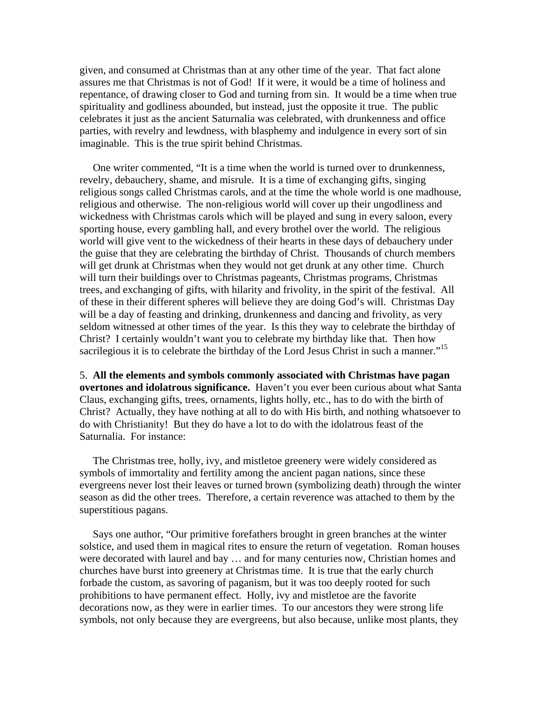given, and consumed at Christmas than at any other time of the year. That fact alone assures me that Christmas is not of God! If it were, it would be a time of holiness and repentance, of drawing closer to God and turning from sin. It would be a time when true spirituality and godliness abounded, but instead, just the opposite it true. The public celebrates it just as the ancient Saturnalia was celebrated, with drunkenness and office parties, with revelry and lewdness, with blasphemy and indulgence in every sort of sin imaginable. This is the true spirit behind Christmas.

 One writer commented, "It is a time when the world is turned over to drunkenness, revelry, debauchery, shame, and misrule. It is a time of exchanging gifts, singing religious songs called Christmas carols, and at the time the whole world is one madhouse, religious and otherwise. The non-religious world will cover up their ungodliness and wickedness with Christmas carols which will be played and sung in every saloon, every sporting house, every gambling hall, and every brothel over the world. The religious world will give vent to the wickedness of their hearts in these days of debauchery under the guise that they are celebrating the birthday of Christ. Thousands of church members will get drunk at Christmas when they would not get drunk at any other time. Church will turn their buildings over to Christmas pageants, Christmas programs, Christmas trees, and exchanging of gifts, with hilarity and frivolity, in the spirit of the festival. All of these in their different spheres will believe they are doing God's will. Christmas Day will be a day of feasting and drinking, drunkenness and dancing and frivolity, as very seldom witnessed at other times of the year. Is this they way to celebrate the birthday of Christ? I certainly wouldn't want you to celebrate my birthday like that. Then how sacrilegious it is to celebrate the birthday of the Lord Jesus Christ in such a manner."<sup>15</sup>

5. **All the elements and symbols commonly associated with Christmas have pagan overtones and idolatrous significance.** Haven't you ever been curious about what Santa Claus, exchanging gifts, trees, ornaments, lights holly, etc., has to do with the birth of Christ? Actually, they have nothing at all to do with His birth, and nothing whatsoever to do with Christianity! But they do have a lot to do with the idolatrous feast of the Saturnalia. For instance:

 The Christmas tree, holly, ivy, and mistletoe greenery were widely considered as symbols of immortality and fertility among the ancient pagan nations, since these evergreens never lost their leaves or turned brown (symbolizing death) through the winter season as did the other trees. Therefore, a certain reverence was attached to them by the superstitious pagans.

 Says one author, "Our primitive forefathers brought in green branches at the winter solstice, and used them in magical rites to ensure the return of vegetation. Roman houses were decorated with laurel and bay … and for many centuries now, Christian homes and churches have burst into greenery at Christmas time. It is true that the early church forbade the custom, as savoring of paganism, but it was too deeply rooted for such prohibitions to have permanent effect. Holly, ivy and mistletoe are the favorite decorations now, as they were in earlier times. To our ancestors they were strong life symbols, not only because they are evergreens, but also because, unlike most plants, they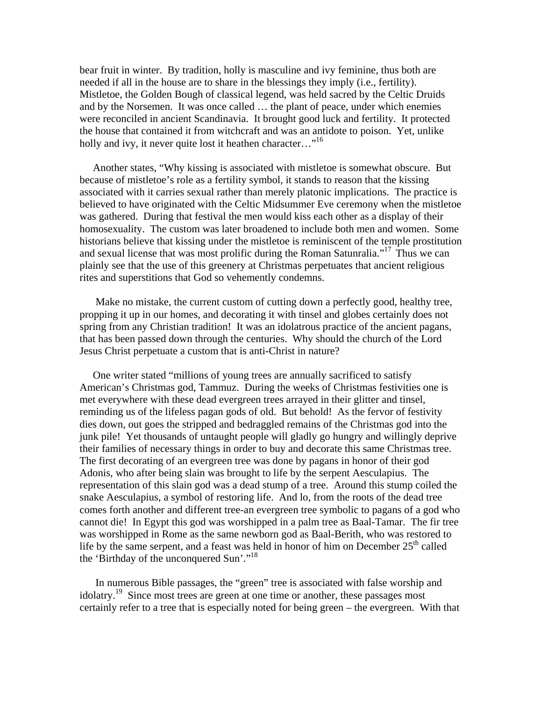bear fruit in winter. By tradition, holly is masculine and ivy feminine, thus both are needed if all in the house are to share in the blessings they imply (i.e., fertility). Mistletoe, the Golden Bough of classical legend, was held sacred by the Celtic Druids and by the Norsemen. It was once called … the plant of peace, under which enemies were reconciled in ancient Scandinavia. It brought good luck and fertility. It protected the house that contained it from witchcraft and was an antidote to poison. Yet, unlike holly and ivy, it never quite lost it heathen character..."<sup>16</sup>

 Another states, "Why kissing is associated with mistletoe is somewhat obscure. But because of mistletoe's role as a fertility symbol, it stands to reason that the kissing associated with it carries sexual rather than merely platonic implications. The practice is believed to have originated with the Celtic Midsummer Eve ceremony when the mistletoe was gathered. During that festival the men would kiss each other as a display of their homosexuality. The custom was later broadened to include both men and women. Some historians believe that kissing under the mistletoe is reminiscent of the temple prostitution and sexual license that was most prolific during the Roman Satunralia."17 Thus we can plainly see that the use of this greenery at Christmas perpetuates that ancient religious rites and superstitions that God so vehemently condemns.

 Make no mistake, the current custom of cutting down a perfectly good, healthy tree, propping it up in our homes, and decorating it with tinsel and globes certainly does not spring from any Christian tradition! It was an idolatrous practice of the ancient pagans, that has been passed down through the centuries. Why should the church of the Lord Jesus Christ perpetuate a custom that is anti-Christ in nature?

 One writer stated "millions of young trees are annually sacrificed to satisfy American's Christmas god, Tammuz. During the weeks of Christmas festivities one is met everywhere with these dead evergreen trees arrayed in their glitter and tinsel, reminding us of the lifeless pagan gods of old. But behold! As the fervor of festivity dies down, out goes the stripped and bedraggled remains of the Christmas god into the junk pile! Yet thousands of untaught people will gladly go hungry and willingly deprive their families of necessary things in order to buy and decorate this same Christmas tree. The first decorating of an evergreen tree was done by pagans in honor of their god Adonis, who after being slain was brought to life by the serpent Aesculapius. The representation of this slain god was a dead stump of a tree. Around this stump coiled the snake Aesculapius, a symbol of restoring life. And lo, from the roots of the dead tree comes forth another and different tree-an evergreen tree symbolic to pagans of a god who cannot die! In Egypt this god was worshipped in a palm tree as Baal-Tamar. The fir tree was worshipped in Rome as the same newborn god as Baal-Berith, who was restored to life by the same serpent, and a feast was held in honor of him on December  $25<sup>th</sup>$  called the 'Birthday of the unconquered Sun'."18

 In numerous Bible passages, the "green" tree is associated with false worship and idolatry.<sup>19</sup> Since most trees are green at one time or another, these passages most certainly refer to a tree that is especially noted for being green – the evergreen. With that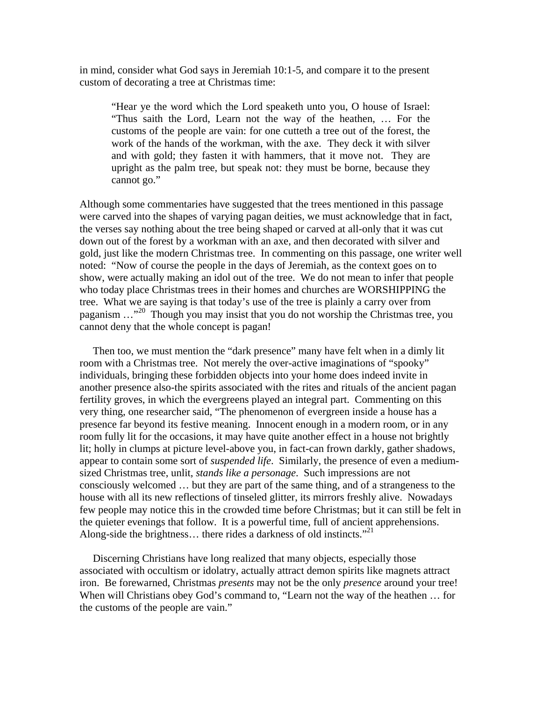in mind, consider what God says in Jeremiah 10:1-5, and compare it to the present custom of decorating a tree at Christmas time:

"Hear ye the word which the Lord speaketh unto you, O house of Israel: "Thus saith the Lord, Learn not the way of the heathen, … For the customs of the people are vain: for one cutteth a tree out of the forest, the work of the hands of the workman, with the axe. They deck it with silver and with gold; they fasten it with hammers, that it move not. They are upright as the palm tree, but speak not: they must be borne, because they cannot go."

Although some commentaries have suggested that the trees mentioned in this passage were carved into the shapes of varying pagan deities, we must acknowledge that in fact, the verses say nothing about the tree being shaped or carved at all-only that it was cut down out of the forest by a workman with an axe, and then decorated with silver and gold, just like the modern Christmas tree. In commenting on this passage, one writer well noted: "Now of course the people in the days of Jeremiah, as the context goes on to show, were actually making an idol out of the tree. We do not mean to infer that people who today place Christmas trees in their homes and churches are WORSHIPPING the tree. What we are saying is that today's use of the tree is plainly a carry over from paganism …"20 Though you may insist that you do not worship the Christmas tree, you cannot deny that the whole concept is pagan!

 Then too, we must mention the "dark presence" many have felt when in a dimly lit room with a Christmas tree. Not merely the over-active imaginations of "spooky" individuals, bringing these forbidden objects into your home does indeed invite in another presence also-the spirits associated with the rites and rituals of the ancient pagan fertility groves, in which the evergreens played an integral part. Commenting on this very thing, one researcher said, "The phenomenon of evergreen inside a house has a presence far beyond its festive meaning. Innocent enough in a modern room, or in any room fully lit for the occasions, it may have quite another effect in a house not brightly lit; holly in clumps at picture level-above you, in fact-can frown darkly, gather shadows, appear to contain some sort of *suspended life*. Similarly, the presence of even a mediumsized Christmas tree, unlit, *stands like a personage*. Such impressions are not consciously welcomed … but they are part of the same thing, and of a strangeness to the house with all its new reflections of tinseled glitter, its mirrors freshly alive. Nowadays few people may notice this in the crowded time before Christmas; but it can still be felt in the quieter evenings that follow. It is a powerful time, full of ancient apprehensions. Along-side the brightness... there rides a darkness of old instincts."<sup>21</sup>

 Discerning Christians have long realized that many objects, especially those associated with occultism or idolatry, actually attract demon spirits like magnets attract iron. Be forewarned, Christmas *presents* may not be the only *presence* around your tree! When will Christians obey God's command to, "Learn not the way of the heathen … for the customs of the people are vain."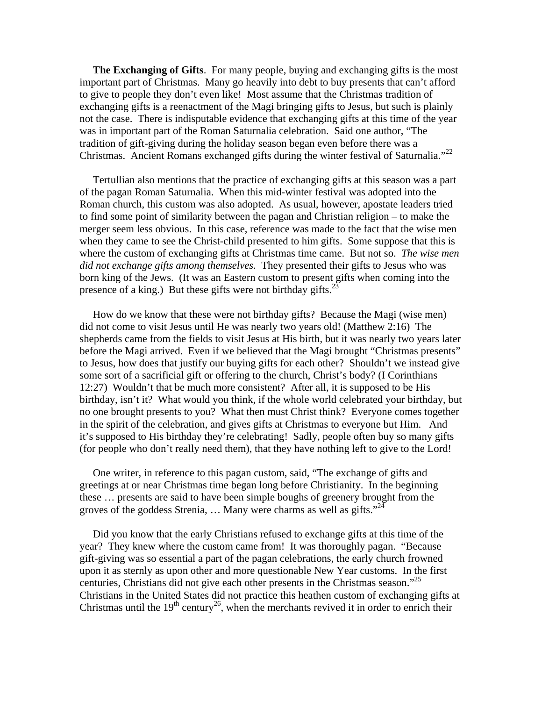**The Exchanging of Gifts**. For many people, buying and exchanging gifts is the most important part of Christmas. Many go heavily into debt to buy presents that can't afford to give to people they don't even like! Most assume that the Christmas tradition of exchanging gifts is a reenactment of the Magi bringing gifts to Jesus, but such is plainly not the case. There is indisputable evidence that exchanging gifts at this time of the year was in important part of the Roman Saturnalia celebration. Said one author, "The tradition of gift-giving during the holiday season began even before there was a Christmas. Ancient Romans exchanged gifts during the winter festival of Saturnalia."<sup>22</sup>

 Tertullian also mentions that the practice of exchanging gifts at this season was a part of the pagan Roman Saturnalia. When this mid-winter festival was adopted into the Roman church, this custom was also adopted. As usual, however, apostate leaders tried to find some point of similarity between the pagan and Christian religion – to make the merger seem less obvious. In this case, reference was made to the fact that the wise men when they came to see the Christ-child presented to him gifts. Some suppose that this is where the custom of exchanging gifts at Christmas time came. But not so. *The wise men did not exchange gifts among themselves.* They presented their gifts to Jesus who was born king of the Jews. (It was an Eastern custom to present gifts when coming into the presence of a king.) But these gifts were not birthday gifts. $^{22}$ 

 How do we know that these were not birthday gifts? Because the Magi (wise men) did not come to visit Jesus until He was nearly two years old! (Matthew 2:16) The shepherds came from the fields to visit Jesus at His birth, but it was nearly two years later before the Magi arrived. Even if we believed that the Magi brought "Christmas presents" to Jesus, how does that justify our buying gifts for each other? Shouldn't we instead give some sort of a sacrificial gift or offering to the church, Christ's body? (I Corinthians 12:27) Wouldn't that be much more consistent? After all, it is supposed to be His birthday, isn't it? What would you think, if the whole world celebrated your birthday, but no one brought presents to you? What then must Christ think? Everyone comes together in the spirit of the celebration, and gives gifts at Christmas to everyone but Him. And it's supposed to His birthday they're celebrating! Sadly, people often buy so many gifts (for people who don't really need them), that they have nothing left to give to the Lord!

 One writer, in reference to this pagan custom, said, "The exchange of gifts and greetings at or near Christmas time began long before Christianity. In the beginning these … presents are said to have been simple boughs of greenery brought from the groves of the goddess Strenia, ... Many were charms as well as gifts."<sup>24</sup>

 Did you know that the early Christians refused to exchange gifts at this time of the year? They knew where the custom came from! It was thoroughly pagan. "Because gift-giving was so essential a part of the pagan celebrations, the early church frowned upon it as sternly as upon other and more questionable New Year customs. In the first centuries, Christians did not give each other presents in the Christmas season."<sup>25</sup> Christians in the United States did not practice this heathen custom of exchanging gifts at Christmas until the  $19<sup>th</sup>$  century<sup>26</sup>, when the merchants revived it in order to enrich their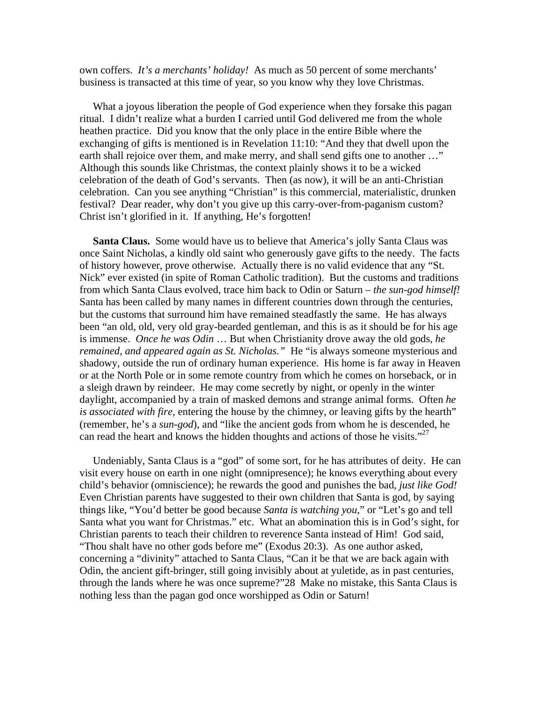own coffers. *It's a merchants' holiday!* As much as 50 percent of some merchants' business is transacted at this time of year, so you know why they love Christmas.

 What a joyous liberation the people of God experience when they forsake this pagan ritual. I didn't realize what a burden I carried until God delivered me from the whole heathen practice. Did you know that the only place in the entire Bible where the exchanging of gifts is mentioned is in Revelation 11:10: "And they that dwell upon the earth shall rejoice over them, and make merry, and shall send gifts one to another ..." Although this sounds like Christmas, the context plainly shows it to be a wicked celebration of the death of God's servants. Then (as now), it will be an anti-Christian celebration. Can you see anything "Christian" is this commercial, materialistic, drunken festival? Dear reader, why don't you give up this carry-over-from-paganism custom? Christ isn't glorified in it. If anything, He's forgotten!

 **Santa Claus.** Some would have us to believe that America's jolly Santa Claus was once Saint Nicholas, a kindly old saint who generously gave gifts to the needy. The facts of history however, prove otherwise. Actually there is no valid evidence that any "St. Nick" ever existed (in spite of Roman Catholic tradition). But the customs and traditions from which Santa Claus evolved, trace him back to Odin or Saturn – *the sun-god himself!* Santa has been called by many names in different countries down through the centuries, but the customs that surround him have remained steadfastly the same. He has always been "an old, old, very old gray-bearded gentleman, and this is as it should be for his age is immense. *Once he was Odin* … But when Christianity drove away the old gods, *he remained, and appeared again as St. Nicholas."* He "is always someone mysterious and shadowy, outside the run of ordinary human experience. His home is far away in Heaven or at the North Pole or in some remote country from which he comes on horseback, or in a sleigh drawn by reindeer. He may come secretly by night, or openly in the winter daylight, accompanied by a train of masked demons and strange animal forms. Often *he is associated with fire*, entering the house by the chimney, or leaving gifts by the hearth" (remember, he's a *sun-god*), and "like the ancient gods from whom he is descended, he can read the heart and knows the hidden thoughts and actions of those he visits."<sup>27</sup>

 Undeniably, Santa Claus is a "god" of some sort, for he has attributes of deity. He can visit every house on earth in one night (omnipresence); he knows everything about every child's behavior (omniscience); he rewards the good and punishes the bad, *just like God!* Even Christian parents have suggested to their own children that Santa is god, by saying things like, "You'd better be good because *Santa is watching you*," or "Let's go and tell Santa what you want for Christmas." etc. What an abomination this is in God's sight, for Christian parents to teach their children to reverence Santa instead of Him! God said, "Thou shalt have no other gods before me" (Exodus 20:3). As one author asked, concerning a "divinity" attached to Santa Claus, "Can it be that we are back again with Odin, the ancient gift-bringer, still going invisibly about at yuletide, as in past centuries, through the lands where he was once supreme?"28 Make no mistake, this Santa Claus is nothing less than the pagan god once worshipped as Odin or Saturn!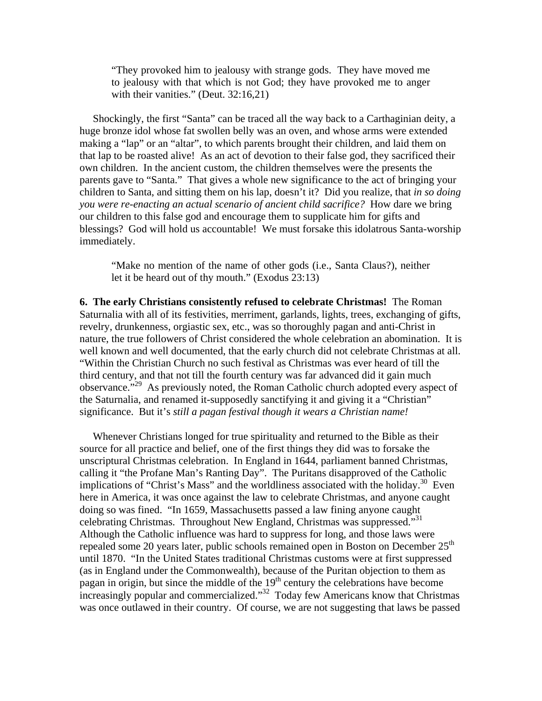"They provoked him to jealousy with strange gods. They have moved me to jealousy with that which is not God; they have provoked me to anger with their vanities." (Deut. 32:16,21)

 Shockingly, the first "Santa" can be traced all the way back to a Carthaginian deity, a huge bronze idol whose fat swollen belly was an oven, and whose arms were extended making a "lap" or an "altar", to which parents brought their children, and laid them on that lap to be roasted alive! As an act of devotion to their false god, they sacrificed their own children. In the ancient custom, the children themselves were the presents the parents gave to "Santa." That gives a whole new significance to the act of bringing your children to Santa, and sitting them on his lap, doesn't it? Did you realize, that *in so doing you were re-enacting an actual scenario of ancient child sacrifice?* How dare we bring our children to this false god and encourage them to supplicate him for gifts and blessings? God will hold us accountable! We must forsake this idolatrous Santa-worship immediately.

"Make no mention of the name of other gods (i.e., Santa Claus?), neither let it be heard out of thy mouth." (Exodus 23:13)

**6. The early Christians consistently refused to celebrate Christmas!** The Roman Saturnalia with all of its festivities, merriment, garlands, lights, trees, exchanging of gifts, revelry, drunkenness, orgiastic sex, etc., was so thoroughly pagan and anti-Christ in nature, the true followers of Christ considered the whole celebration an abomination. It is well known and well documented, that the early church did not celebrate Christmas at all. "Within the Christian Church no such festival as Christmas was ever heard of till the third century, and that not till the fourth century was far advanced did it gain much observance."29 As previously noted, the Roman Catholic church adopted every aspect of the Saturnalia, and renamed it-supposedly sanctifying it and giving it a "Christian" significance. But it's *still a pagan festival though it wears a Christian name!*

 Whenever Christians longed for true spirituality and returned to the Bible as their source for all practice and belief, one of the first things they did was to forsake the unscriptural Christmas celebration. In England in 1644, parliament banned Christmas, calling it "the Profane Man's Ranting Day". The Puritans disapproved of the Catholic implications of "Christ's Mass" and the worldliness associated with the holiday.<sup>30</sup> Even here in America, it was once against the law to celebrate Christmas, and anyone caught doing so was fined. "In 1659, Massachusetts passed a law fining anyone caught celebrating Christmas. Throughout New England, Christmas was suppressed."31 Although the Catholic influence was hard to suppress for long, and those laws were repealed some 20 years later, public schools remained open in Boston on December  $25<sup>th</sup>$ until 1870. "In the United States traditional Christmas customs were at first suppressed (as in England under the Commonwealth), because of the Puritan objection to them as pagan in origin, but since the middle of the  $19<sup>th</sup>$  century the celebrations have become increasingly popular and commercialized."32 Today few Americans know that Christmas was once outlawed in their country. Of course, we are not suggesting that laws be passed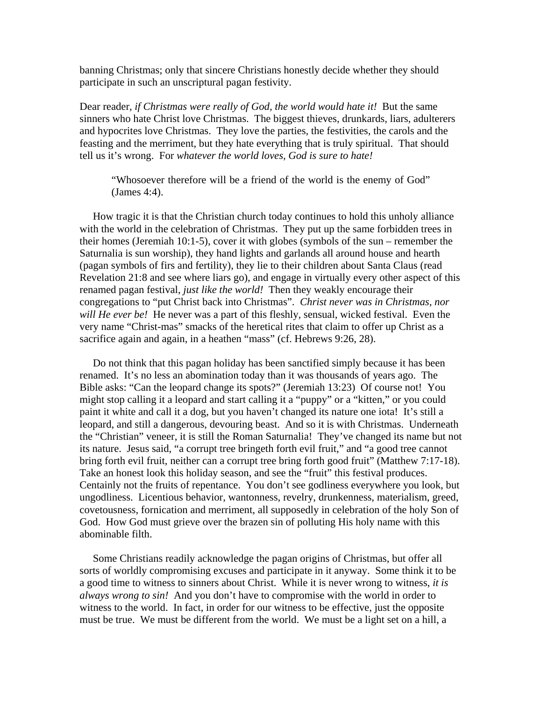banning Christmas; only that sincere Christians honestly decide whether they should participate in such an unscriptural pagan festivity.

Dear reader, *if Christmas were really of God, the world would hate it!* But the same sinners who hate Christ love Christmas. The biggest thieves, drunkards, liars, adulterers and hypocrites love Christmas. They love the parties, the festivities, the carols and the feasting and the merriment, but they hate everything that is truly spiritual. That should tell us it's wrong. For *whatever the world loves, God is sure to hate!*

"Whosoever therefore will be a friend of the world is the enemy of God" (James 4:4).

 How tragic it is that the Christian church today continues to hold this unholy alliance with the world in the celebration of Christmas. They put up the same forbidden trees in their homes (Jeremiah 10:1-5), cover it with globes (symbols of the sun – remember the Saturnalia is sun worship), they hand lights and garlands all around house and hearth (pagan symbols of firs and fertility), they lie to their children about Santa Claus (read Revelation 21:8 and see where liars go), and engage in virtually every other aspect of this renamed pagan festival, *just like the world!* Then they weakly encourage their congregations to "put Christ back into Christmas". *Christ never was in Christmas, nor will He ever be!* He never was a part of this fleshly, sensual, wicked festival. Even the very name "Christ-mas" smacks of the heretical rites that claim to offer up Christ as a sacrifice again and again, in a heathen "mass" (cf. Hebrews 9:26, 28).

 Do not think that this pagan holiday has been sanctified simply because it has been renamed. It's no less an abomination today than it was thousands of years ago. The Bible asks: "Can the leopard change its spots?" (Jeremiah 13:23) Of course not! You might stop calling it a leopard and start calling it a "puppy" or a "kitten," or you could paint it white and call it a dog, but you haven't changed its nature one iota! It's still a leopard, and still a dangerous, devouring beast. And so it is with Christmas. Underneath the "Christian" veneer, it is still the Roman Saturnalia! They've changed its name but not its nature. Jesus said, "a corrupt tree bringeth forth evil fruit," and "a good tree cannot bring forth evil fruit, neither can a corrupt tree bring forth good fruit" (Matthew 7:17-18). Take an honest look this holiday season, and see the "fruit" this festival produces. Centainly not the fruits of repentance. You don't see godliness everywhere you look, but ungodliness. Licentious behavior, wantonness, revelry, drunkenness, materialism, greed, covetousness, fornication and merriment, all supposedly in celebration of the holy Son of God. How God must grieve over the brazen sin of polluting His holy name with this abominable filth.

 Some Christians readily acknowledge the pagan origins of Christmas, but offer all sorts of worldly compromising excuses and participate in it anyway. Some think it to be a good time to witness to sinners about Christ. While it is never wrong to witness, *it is always wrong to sin!* And you don't have to compromise with the world in order to witness to the world. In fact, in order for our witness to be effective, just the opposite must be true. We must be different from the world. We must be a light set on a hill, a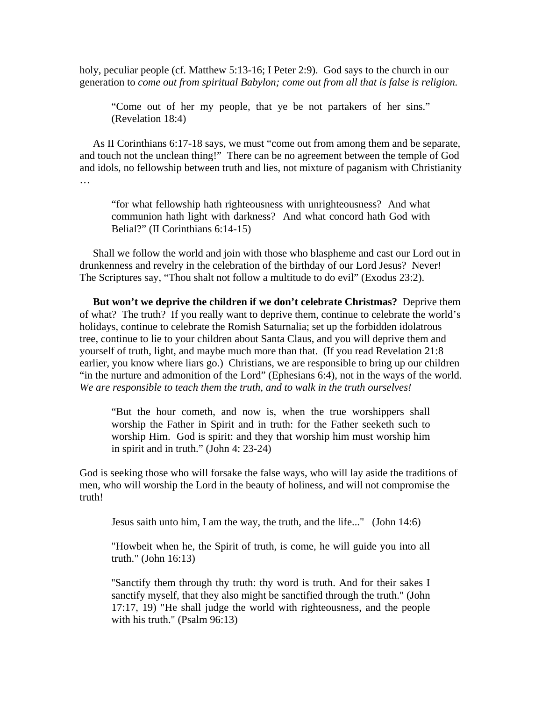holy, peculiar people (cf. Matthew 5:13-16; I Peter 2:9). God says to the church in our generation to *come out from spiritual Babylon; come out from all that is false is religion.*

"Come out of her my people, that ye be not partakers of her sins." (Revelation 18:4)

 As II Corinthians 6:17-18 says, we must "come out from among them and be separate, and touch not the unclean thing!" There can be no agreement between the temple of God and idols, no fellowship between truth and lies, not mixture of paganism with Christianity  $\mathbb{R}^2$ 

"for what fellowship hath righteousness with unrighteousness? And what communion hath light with darkness? And what concord hath God with Belial?" (II Corinthians 6:14-15)

 Shall we follow the world and join with those who blaspheme and cast our Lord out in drunkenness and revelry in the celebration of the birthday of our Lord Jesus? Never! The Scriptures say, "Thou shalt not follow a multitude to do evil" (Exodus 23:2).

 **But won't we deprive the children if we don't celebrate Christmas?** Deprive them of what? The truth? If you really want to deprive them, continue to celebrate the world's holidays, continue to celebrate the Romish Saturnalia; set up the forbidden idolatrous tree, continue to lie to your children about Santa Claus, and you will deprive them and yourself of truth, light, and maybe much more than that. (If you read Revelation 21:8 earlier, you know where liars go.) Christians, we are responsible to bring up our children "in the nurture and admonition of the Lord" (Ephesians 6:4), not in the ways of the world. *We are responsible to teach them the truth, and to walk in the truth ourselves!*

"But the hour cometh, and now is, when the true worshippers shall worship the Father in Spirit and in truth: for the Father seeketh such to worship Him. God is spirit: and they that worship him must worship him in spirit and in truth." (John 4: 23-24)

God is seeking those who will forsake the false ways, who will lay aside the traditions of men, who will worship the Lord in the beauty of holiness, and will not compromise the truth!

Jesus saith unto him, I am the way, the truth, and the life..." (John 14:6)

"Howbeit when he, the Spirit of truth, is come, he will guide you into all truth." (John 16:13)

''Sanctify them through thy truth: thy word is truth. And for their sakes I sanctify myself, that they also might be sanctified through the truth." (John 17:17, 19) "He shall judge the world with righteousness, and the people with his truth." (Psalm 96:13)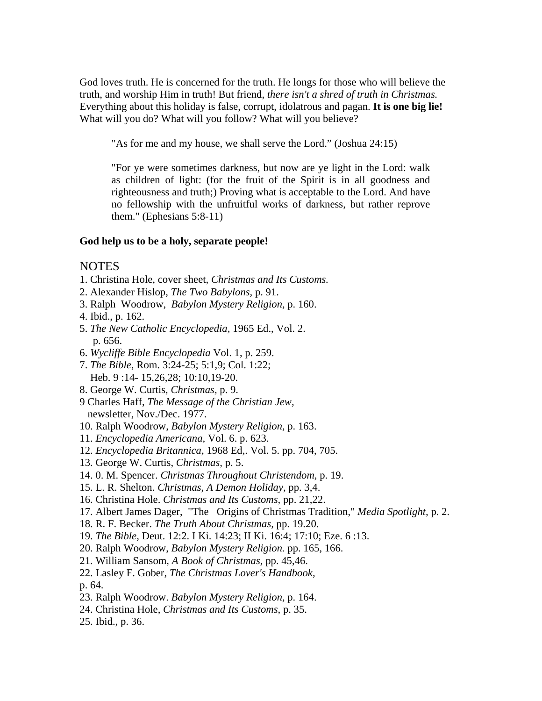God loves truth. He is concerned for the truth. He longs for those who will believe the truth, and worship Him in truth! But friend, *there isn't a shred of truth in Christmas.* Everything about this holiday is false, corrupt, idolatrous and pagan. **It is one big lie!** What will you do? What will you follow? What will you believe?

"As for me and my house, we shall serve the Lord." (Joshua 24:15)

"For ye were sometimes darkness, but now are ye light in the Lord: walk as children of light: (for the fruit of the Spirit is in all goodness and righteousness and truth;) Proving what is acceptable to the Lord. And have no fellowship with the unfruitful works of darkness, but rather reprove them." (Ephesians 5:8-11)

## **God help us to be a holy, separate people!**

## NOTES

- 1. Christina Hole, cover sheet, *Christmas and Its Customs.*
- 2. Alexander Hislop, *The Two Babylons,* p. 91.
- 3. Ralph Woodrow, *Babylon Mystery Religion,* p. 160.
- 4. Ibid., p. 162.
- 5. *The New Catholic Encyclopedia,* 1965 Ed., Vol. 2. p. 656.
- 6. *Wycliffe Bible Encyclopedia* Vol. 1, p. 259.
- 7. *The Bible*, Rom. 3:24-25; 5:1,9; Col. 1:22; Heb. 9 :14- 15,26,28; 10:10,19-20.
- 8. George W. Curtis, *Christmas,* p. 9.
- 9 Charles Haff, *The Message of the Christian Jew,* newsletter, Nov./Dec. 1977.
- 10. Ralph Woodrow, *Babylon Mystery Religion,* p. 163.
- 11. *Encyclopedia Americana,* Vol. 6. p. 623.
- 12. *Encyclopedia Britannica,* 1968 Ed,. Vol. 5. pp. 704, 705.
- 13. George W. Curtis, *Christmas,* p. 5.
- 14. 0. M. Spencer. *Christmas Throughout Christendom,* p. 19.
- 15. L. R. Shelton. *Christmas, A Demon Holiday,* pp. 3,4.
- 16. Christina Hole. *Christmas and Its Customs,* pp. 21,22.
- 17. Albert James Dager, "The Origins of Christmas Tradition," *Media Spotlight,* p. 2.
- 18. R. F. Becker. *The Truth About Christmas,* pp. 19.20.
- 19. *The Bible,* Deut. 12:2. I Ki. 14:23; II Ki. 16:4; 17:10; Eze. 6 :13.
- 20. Ralph Woodrow, *Babylon Mystery Religion.* pp. 165, 166.
- 21. William Sansom, *A Book of Christmas,* pp. 45,46.
- 22. Lasley F. Gober, *The Christmas Lover's Handbook,* p. 64.
- 23. Ralph Woodrow. *Babylon Mystery Religion,* p. 164.
- 24. Christina Hole, *Christmas and Its Customs*, p. 35.
- 25. Ibid., p. 36.